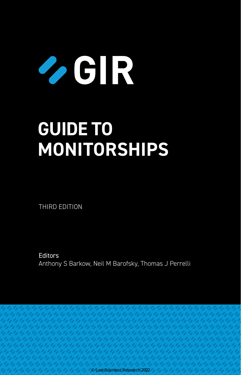# $\bullet$  GIR

# **GUIDE TO MONITORSHIPS**

THIRD EDITION

**Editors** Anthony S Barkow, Neil M Barofsky, Thomas J Perrelli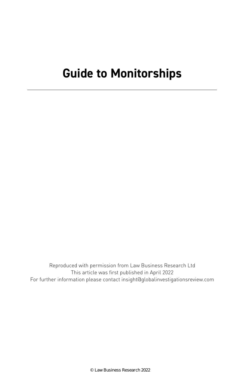# **Guide to Monitorships**

Reproduced with permission from Law Business Research Ltd This article was first published in April 2022 For further information please contact insight@globalinvestigationsreview.com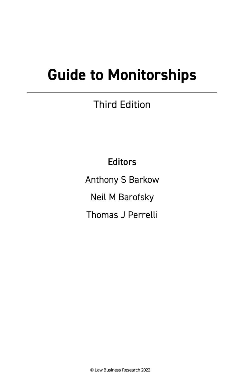# **Guide to Monitorships**

# Third Edition

**Editors** 

Anthony S Barkow

Neil M Barofsky

Thomas J Perrelli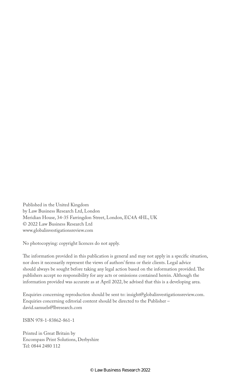Published in the United Kingdom by Law Business Research Ltd, London Meridian House, 34-35 Farringdon Street, London, EC4A 4HL, UK © 2022 Law Business Research Ltd www.globalinvestigationsreview.com

No photocopying: copyright licences do not apply.

The information provided in this publication is general and may not apply in a specific situation, nor does it necessarily represent the views of authors' firms or their clients. Legal advice should always be sought before taking any legal action based on the information provided. The publishers accept no responsibility for any acts or omissions contained herein. Although the information provided was accurate as at April 2022, be advised that this is a developing area.

Enquiries concerning reproduction should be sent to: insight@globalinvestigationsreview.com. Enquiries concerning editorial content should be directed to the Publisher – david.samuels@lbresearch.com

ISBN 978-1-83862-861-1

Printed in Great Britain by Encompass Print Solutions, Derbyshire Tel: 0844 2480 112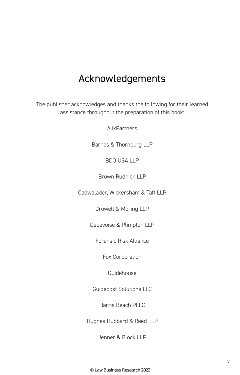## Acknowledgements

The publisher acknowledges and thanks the following for their learned assistance throughout the preparation of this book:

AlixPartners

Barnes & Thornburg LLP

BDO USA LLP

Brown Rudnick LLP

Cadwalader, Wickersham & Taft LLP

Crowell & Moring LLP

Debevoise & Plimpton LLP

Forensic Risk Alliance

Fox Corporation

Guidehouse

Guidepost Solutions LLC

Harris Beach PLLC

Hughes Hubbard & Reed LLP

Jenner & Block LLP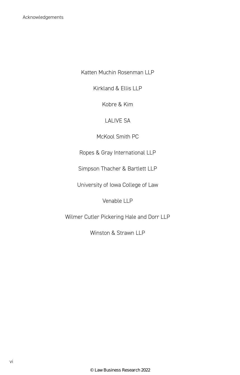Katten Muchin Rosenman LLP

Kirkland & Ellis LLP

Kobre & Kim

#### LALIVE SA

McKool Smith PC

Ropes & Gray International LLP

Simpson Thacher & Bartlett LLP

University of Iowa College of Law

Venable LLP

Wilmer Cutler Pickering Hale and Dorr LLP

Winston & Strawn LLP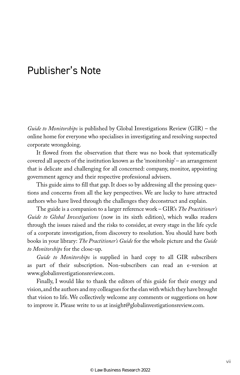## Publisher's Note

*Guide to Monitorships* is published by Global Investigations Review (GIR) – the online home for everyone who specialises in investigating and resolving suspected corporate wrongdoing.

It flowed from the observation that there was no book that systematically covered all aspects of the institution known as the 'monitorship' – an arrangement that is delicate and challenging for all concerned: company, monitor, appointing government agency and their respective professional advisers.

This guide aims to fill that gap. It does so by addressing all the pressing questions and concerns from all the key perspectives. We are lucky to have attracted authors who have lived through the challenges they deconstruct and explain.

The guide is a companion to a larger reference work – GIR's *The Practitioner's Guide to Global Investigations* (now in its sixth edition), which walks readers through the issues raised and the risks to consider, at every stage in the life cycle of a corporate investigation, from discovery to resolution. You should have both books in your library: *The Practitioner's Guide* for the whole picture and the *Guide to Monitorships* for the close-up.

*Guide to Monitorships* is supplied in hard copy to all GIR subscribers as part of their subscription. Non-subscribers can read an e-version at www.globalinvestigationsreview.com.

Finally, I would like to thank the editors of this guide for their energy and vision, and the authors and my colleagues for the elan with which they have brought that vision to life. We collectively welcome any comments or suggestions on how to improve it. Please write to us at insight@globalinvestigationsreview.com.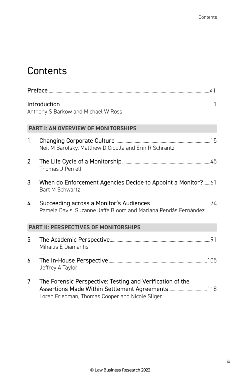# **Contents**

|                                              | Anthony S Barkow and Michael W Ross                                                                                                                              |  |  |  |
|----------------------------------------------|------------------------------------------------------------------------------------------------------------------------------------------------------------------|--|--|--|
| <b>PART I: AN OVERVIEW OF MONITORSHIPS</b>   |                                                                                                                                                                  |  |  |  |
| $\mathbf{1}$                                 | Neil M Barofsky, Matthew D Cipolla and Erin R Schrantz                                                                                                           |  |  |  |
| $\overline{2}$                               | Thomas J Perrelli                                                                                                                                                |  |  |  |
| 3                                            | <b>Bart M Schwartz</b>                                                                                                                                           |  |  |  |
| 4                                            | Pamela Davis, Suzanne Jaffe Bloom and Mariana Pendás Fernández                                                                                                   |  |  |  |
| <b>PART II: PERSPECTIVES OF MONITORSHIPS</b> |                                                                                                                                                                  |  |  |  |
| 5                                            | Mihailis E Diamantis                                                                                                                                             |  |  |  |
| 6                                            | Jeffrey A Taylor                                                                                                                                                 |  |  |  |
| 7                                            | The Forensic Perspective: Testing and Verification of the<br>Assertions Made Within Settlement Agreements 118<br>Loren Friedman, Thomas Cooper and Nicole Sliger |  |  |  |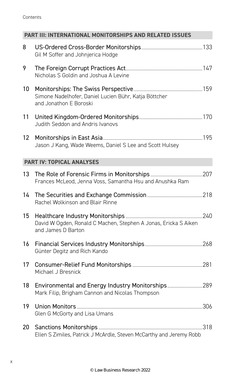| Contents |
|----------|
|----------|

| <b>PART III: INTERNATIONAL MONITORSHIPS AND RELATED ISSUES</b> |                                                                                       |  |  |  |  |
|----------------------------------------------------------------|---------------------------------------------------------------------------------------|--|--|--|--|
| 8                                                              | Gil M Soffer and Johnjerica Hodge                                                     |  |  |  |  |
| 9                                                              | Nicholas S Goldin and Joshua A Levine                                                 |  |  |  |  |
| 10                                                             | Simone Nadelhofer, Daniel Lucien Bühr, Katja Böttcher<br>and Jonathon E Boroski       |  |  |  |  |
| 11                                                             | Judith Seddon and Andris Ivanovs                                                      |  |  |  |  |
| 12 <sup>2</sup>                                                | Jason J Kang, Wade Weems, Daniel S Lee and Scott Hulsey                               |  |  |  |  |
| <b>PART IV: TOPICAL ANALYSES</b>                               |                                                                                       |  |  |  |  |
| 13                                                             | Frances McLeod, Jenna Voss, Samantha Hsu and Anushka Ram                              |  |  |  |  |
| 14                                                             | Rachel Wolkinson and Blair Rinne                                                      |  |  |  |  |
| 15                                                             | David W Ogden, Ronald C Machen, Stephen A Jonas, Ericka S Aiken<br>and James D Barton |  |  |  |  |
| 16                                                             | Günter Degitz and Rich Kando                                                          |  |  |  |  |
| 17                                                             | Michael J Bresnick                                                                    |  |  |  |  |
| 18                                                             | Mark Filip, Brigham Cannon and Nicolas Thompson                                       |  |  |  |  |
| 19                                                             | Glen G McGorty and Lisa Umans                                                         |  |  |  |  |
| 20                                                             | Ellen S Zimiles, Patrick J McArdle, Steven McCarthy and Jeremy Robb                   |  |  |  |  |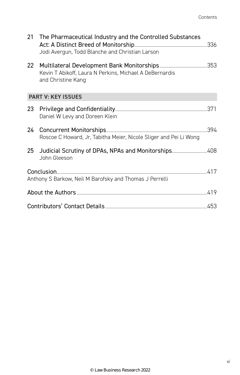|                 | 21 The Pharmaceutical Industry and the Controlled Substances<br>Jodi Avergun, Todd Blanche and Christian Larson |  |  |  |  |
|-----------------|-----------------------------------------------------------------------------------------------------------------|--|--|--|--|
| 22 <sub>2</sub> | Kevin T Abikoff, Laura N Perkins, Michael A DeBernardis<br>and Christine Kang                                   |  |  |  |  |
|                 | <b>PART V: KEY ISSUES</b>                                                                                       |  |  |  |  |
| 23              | Daniel W Levy and Doreen Klein                                                                                  |  |  |  |  |
| 24              | Roscoe C Howard, Jr, Tabitha Meier, Nicole Sliger and Pei Li Wong                                               |  |  |  |  |
|                 | 25 Judicial Scrutiny of DPAs, NPAs and Monitorships408<br>John Gleeson                                          |  |  |  |  |
|                 | Anthony S Barkow, Neil M Barofsky and Thomas J Perrelli                                                         |  |  |  |  |
|                 |                                                                                                                 |  |  |  |  |
|                 |                                                                                                                 |  |  |  |  |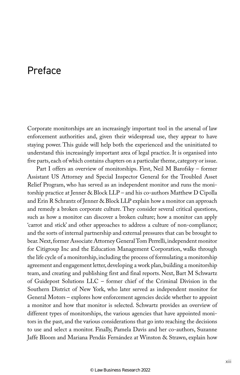### Preface

Corporate monitorships are an increasingly important tool in the arsenal of law enforcement authorities and, given their widespread use, they appear to have staying power. This guide will help both the experienced and the uninitiated to understand this increasingly important area of legal practice. It is organised into five parts, each of which contains chapters on a particular theme, category or issue.

Part I offers an overview of monitorships. First, Neil M Barofsky – former Assistant US Attorney and Special Inspector General for the Troubled Asset Relief Program, who has served as an independent monitor and runs the monitorship practice at Jenner & Block LLP – and his co-authors Matthew D Cipolla and Erin R Schrantz of Jenner & Block LLP explain how a monitor can approach and remedy a broken corporate culture. They consider several critical questions, such as how a monitor can discover a broken culture; how a monitor can apply 'carrot and stick' and other approaches to address a culture of non-compliance; and the sorts of internal partnership and external pressures that can be brought to bear. Next, former Associate Attorney General Tom Perrelli, independent monitor for Citigroup Inc and the Education Management Corporation, walks through the life cycle of a monitorship, including the process of formulating a monitorship agreement and engagement letter, developing a work plan, building a monitorship team, and creating and publishing first and final reports. Next, Bart M Schwartz of Guidepost Solutions LLC – former chief of the Criminal Division in the Southern District of New York, who later served as independent monitor for General Motors – explores how enforcement agencies decide whether to appoint a monitor and how that monitor is selected. Schwartz provides an overview of different types of monitorships, the various agencies that have appointed monitors in the past, and the various considerations that go into reaching the decisions to use and select a monitor. Finally, Pamela Davis and her co-authors, Suzanne Jaffe Bloom and Mariana Pendás Fernández at Winston & Strawn, explain how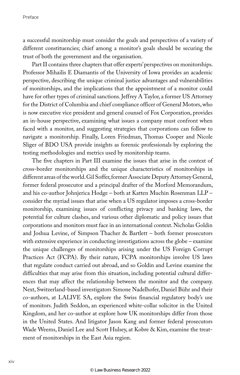a successful monitorship must consider the goals and perspectives of a variety of different constituencies; chief among a monitor's goals should be securing the trust of both the government and the organisation.

Part II contains three chapters that offer experts' perspectives on monitorships. Professor Mihailis E Diamantis of the University of Iowa provides an academic perspective, describing the unique criminal justice advantages and vulnerabilities of monitorships, and the implications that the appointment of a monitor could have for other types of criminal sanctions. Jeffrey A Taylor, a former US Attorney for the District of Columbia and chief compliance officer of General Motors, who is now executive vice president and general counsel of Fox Corporation, provides an in-house perspective, examining what issues a company must confront when faced with a monitor, and suggesting strategies that corporations can follow to navigate a monitorship. Finally, Loren Friedman, Thomas Cooper and Nicole Sliger of BDO USA provide insights as forensic professionals by exploring the testing methodologies and metrics used by monitorship teams.

The five chapters in Part III examine the issues that arise in the context of cross-border monitorships and the unique characteristics of monitorships in different areas of the world. Gil Soffer, former Associate Deputy Attorney General, former federal prosecutor and a principal drafter of the Morford Memorandum, and his co-author Johnjerica Hodge – both at Katten Muchin Rosenman LLP – consider the myriad issues that arise when a US regulator imposes a cross-border monitorship, examining issues of conflicting privacy and banking laws, the potential for culture clashes, and various other diplomatic and policy issues that corporations and monitors must face in an international context. Nicholas Goldin and Joshua Levine, of Simpson Thacher & Bartlett – both former prosecutors with extensive experience in conducting investigations across the globe – examine the unique challenges of monitorships arising under the US Foreign Corrupt Practices Act (FCPA). By their nature, FCPA monitorships involve US laws that regulate conduct carried out abroad, and so Goldin and Levine examine the difficulties that may arise from this situation, including potential cultural differences that may affect the relationship between the monitor and the company. Next, Switzerland-based investigators Simone Nadelhofer, Daniel Bühr and their co-authors, at LALIVE SA, explore the Swiss financial regulatory body's use of monitors. Judith Seddon, an experienced white-collar solicitor in the United Kingdom, and her co-author at explore how UK monitorships differ from those in the United States. And litigator Jason Kang and former federal prosecutors Wade Weems, Daniel Lee and Scott Hulsey, at Kobre & Kim, examine the treatment of monitorships in the East Asia region.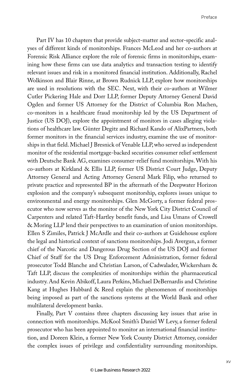Part IV has 10 chapters that provide subject-matter and sector-specific analyses of different kinds of monitorships. Frances McLeod and her co-authors at Forensic Risk Alliance explore the role of forensic firms in monitorships, examining how these firms can use data analytics and transaction testing to identify relevant issues and risk in a monitored financial institution. Additionally, Rachel Wolkinson and Blair Rinne, at Brown Rudnick LLP, explore how monitorships are used in resolutions with the SEC. Next, with their co-authors at Wilmer Cutler Pickering Hale and Dorr LLP, former Deputy Attorney General David Ogden and former US Attorney for the District of Columbia Ron Machen, co-monitors in a healthcare fraud monitorship led by the US Department of Justice (US DOJ), explore the appointment of monitors in cases alleging violations of healthcare law. Günter Degitz and Richard Kando of AlixPartners, both former monitors in the financial services industry, examine the use of monitorships in that field. Michael J Bresnick of Venable LLP, who served as independent monitor of the residential mortgage-backed securities consumer relief settlement with Deutsche Bank AG, examines consumer-relief fund monitorships. With his co-authors at Kirkland & Ellis LLP, former US District Court Judge, Deputy Attorney General and Acting Attorney General Mark Filip, who returned to private practice and represented BP in the aftermath of the Deepwater Horizon explosion and the company's subsequent monitorship, explores issues unique to environmental and energy monitorships. Glen McGorty, a former federal prosecutor who now serves as the monitor of the New York City District Council of Carpenters and related Taft-Hartley benefit funds, and Lisa Umans of Crowell & Moring LLP lend their perspectives to an examination of union monitorships. Ellen S Zimiles, Patrick J McArdle and their co-authors at Guidehouse explore the legal and historical context of sanctions monitorships. Jodi Avergun, a former chief of the Narcotic and Dangerous Drug Section of the US DOJ and former Chief of Staff for the US Drug Enforcement Administration, former federal prosecutor Todd Blanche and Christian Larson, of Cadwalader, Wickersham & Taft LLP, discuss the complexities of monitorships within the pharmaceutical industry. And Kevin Abikoff, Laura Perkins, Michael DeBernardis and Christine Kang at Hughes Hubbard & Reed explain the phenomenon of monitorships being imposed as part of the sanctions systems at the World Bank and other multilateral development banks.

Finally, Part V contains three chapters discussing key issues that arise in connection with monitorships. McKool Smith's Daniel W Levy, a former federal prosecutor who has been appointed to monitor an international financial institution, and Doreen Klein, a former New York County District Attorney, consider the complex issues of privilege and confidentiality surrounding monitorships.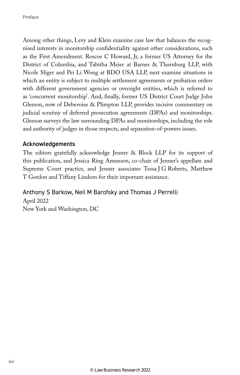Among other things, Levy and Klein examine case law that balances the recognised interests in monitorship confidentiality against other considerations, such as the First Amendment. Roscoe C Howard, Jr, a former US Attorney for the District of Columbia, and Tabitha Meier at Barnes & Thornburg LLP, with Nicole Sliger and Pei Li Wong at BDO USA LLP, next examine situations in which an entity is subject to multiple settlement agreements or probation orders with different government agencies or oversight entities, which is referred to as 'concurrent monitorship'. And, finally, former US District Court Judge John Gleeson, now of Debevoise & Plimpton LLP, provides incisive commentary on judicial scrutiny of deferred prosecution agreements (DPAs) and monitorships. Gleeson surveys the law surrounding DPAs and monitorships, including the role and authority of judges in those respects, and separation-of-powers issues.

#### Acknowledgements

The editors gratefully acknowledge Jenner & Block LLP for its support of this publication, and Jessica Ring Amunson, co-chair of Jenner's appellate and Supreme Court practice, and Jenner associates Tessa J G Roberts, Matthew T Gordon and Tiffany Lindom for their important assistance.

#### Anthony S Barkow, Neil M Barofsky and Thomas J Perrelli

April 2022 New York and Washington, DC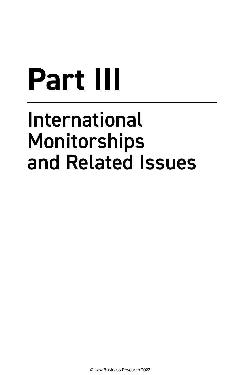# **Part III**

# International Monitorships and Related Issues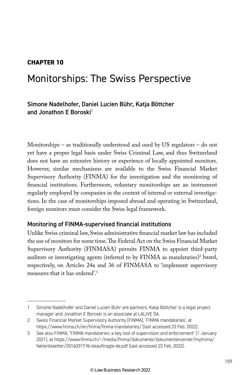#### **CHAPTER 10**

## Monitorships: The Swiss Perspective

#### Simone Nadelhofer, Daniel Lucien Bühr, Katja Böttcher and Jonathon E Boroski<sup>1</sup>

Monitorships – as traditionally understood and used by US regulators – do not yet have a proper legal basis under Swiss Criminal Law, and thus Switzerland does not have an extensive history or experience of locally appointed monitors. However, similar mechanisms are available to the Swiss Financial Market Supervisory Authority (FINMA) for the investigation and the monitoring of financial institutions. Furthermore, voluntary monitorships are an instrument regularly employed by companies in the context of internal or external investigations. In the case of monitorships imposed abroad and operating in Switzerland, foreign monitors must consider the Swiss legal framework.

#### Monitoring of FINMA-supervised financial institutions

Unlike Swiss criminal law, Swiss administrative financial market law has included the use of monitors for some time. The Federal Act on the Swiss Financial Market Supervisory Authority (FINMASA) permits FINMA to appoint third-party auditors or investigating agents (referred to by FINMA as mandataries)<sup>2</sup> based, respectively, on Articles 24a and 36 of FINMASA to 'implement supervisory measures that it has ordered'.3

<sup>1</sup> Simone Nadelhofer and Daniel Lucien Bühr are partners, Katja Böttcher is a legal project manager and Jonathon E Boroski is an associate at LALIVE SA.

<sup>2</sup> Swiss Financial Market Supervisory Authority (FINMA), 'FINMA mandataries', at https://www.finma.ch/en/finma/finma-mandataries/ (last accessed 23 Feb. 2022).

<sup>3</sup> See also FINMA, 'FINMA mandataries: a key tool of supervision and enforcement' (1 January 2021), at https://www.finma.ch/~/media/finma/dokumente/dokumentencenter/myfinma/ faktenblaetter/20160317-fb-beauftragte-de.pdf (last accessed 23 Feb. 2022).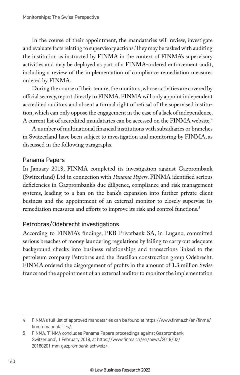In the course of their appointment, the mandataries will review, investigate and evaluate facts relating to supervisory actions. They may be tasked with auditing the institution as instructed by FINMA in the context of FINMA's supervisory activities and may be deployed as part of a FINMA-ordered enforcement audit, including a review of the implementation of compliance remediation measures ordered by FINMA.

During the course of their tenure, the monitors, whose activities are covered by official secrecy, report directly to FINMA. FINMA will only appoint independent accredited auditors and absent a formal right of refusal of the supervised institution, which can only oppose the engagement in the case of a lack of independence. A current list of accredited mandataries can be accessed on the FINMA website.4

A number of multinational financial institutions with subsidiaries or branches in Switzerland have been subject to investigation and monitoring by FINMA, as discussed in the following paragraphs.

#### Panama Papers

In January 2018, FINMA completed its investigation against Gazprombank (Switzerland) Ltd in connection with *Panama Papers*. FINMA identified serious deficiencies in Gazprombank's due diligence, compliance and risk management systems, leading to a ban on the bank's expansion into further private client business and the appointment of an external monitor to closely supervise its remediation measures and efforts to improve its risk and control functions.<sup>5</sup>

#### Petrobras/Odebrecht investigations

According to FINMA's findings, PKB Privatbank SA, in Lugano, committed serious breaches of money laundering regulations by failing to carry out adequate background checks into business relationships and transactions linked to the petroleum company Petrobras and the Brazilian construction group Odebrecht. FINMA ordered the disgorgement of profits in the amount of 1.3 million Swiss francs and the appointment of an external auditor to monitor the implementation

<sup>4</sup> FINMA's full list of approved mandataries can be found at https://www.finma.ch/en/finma/ finma-mandataries/.

<sup>5</sup> FINMA, 'FINMA concludes Panama Papers proceedings against Gazprombank Switzerland', 1 February 2018, at https://www.finma.ch/en/news/2018/02/ 20180201-mm-gazprombank-schweiz/.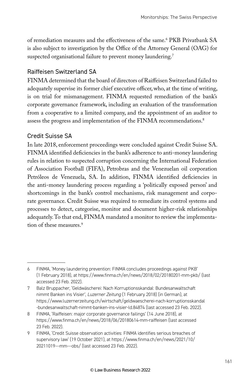of remediation measures and the effectiveness of the same.<sup>8</sup> PKB Privatbank SA is also subject to investigation by the Office of the Attorney General (OAG) for suspected organisational failure to prevent money laundering.<sup>7</sup>

#### Raiffeisen Switzerland SA

FINMA determined that the board of directors of Raiffeisen Switzerland failed to adequately supervise its former chief executive officer, who, at the time of writing, is on trial for mismanagement. FINMA requested remediation of the bank's corporate governance framework, including an evaluation of the transformation from a cooperative to a limited company, and the appointment of an auditor to assess the progress and implementation of the FINMA recommendations.<sup>8</sup>

#### Credit Suisse SA

In late 2018, enforcement proceedings were concluded against Credit Suisse SA. FINMA identified deficiencies in the bank's adherence to anti-money laundering rules in relation to suspected corruption concerning the International Federation of Association Football (FIFA), Petrobras and the Venezuelan oil corporation Petróleos de Venezuela, SA. In addition, FINMA identified deficiencies in the anti-money laundering process regarding a 'politically exposed person' and shortcomings in the bank's control mechanisms, risk management and corporate governance. Credit Suisse was required to remediate its control systems and processes to detect, categorise, monitor and document higher-risk relationships adequately. To that end, FINMA mandated a monitor to review the implementation of these measures.<sup>9</sup>

<sup>6</sup> FINMA, 'Money laundering prevention: FINMA concludes proceedings against PKB' (1 February 2018), at https://www.finma.ch/en/news/2018/02/20180201-mm-pkb/ (last accessed 23 Feb. 2022).

<sup>7</sup> Balz Bruppacher, 'Geldwäscherei: Nach Korruptionsskandal: Bundesanwaltschaft nimmt Banken ins Visier', *Luzerner Zeitung* (1 February 2018) (in German), at https://www.luzernerzeitung.ch/wirtschaft/geldwaescherei-nach-korruptionsskandal -bundesanwaltschaft-nimmt-banken-ins-visier-ld.84874 (last accessed 23 Feb. 2022).

<sup>8</sup> FINMA, 'Raiffeisen: major corporate governance failings' (14 June 2018), at https://www.finma.ch/en/news/2018/06/20180614-mm-raiffeisen (last accessed 23 Feb. 2022).

<sup>9</sup> FINMA, 'Credit Suisse observation activities: FINMA identifies serious breaches of supervisory law' (19 October 2021), at https://www.finma.ch/en/news/2021/10/ 20211019---mm---obs/ (last accessed 23 Feb. 2022).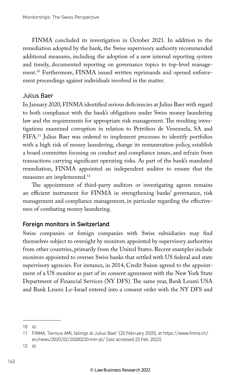FINMA concluded its investigation in October 2021. In addition to the remediation adopted by the bank, the Swiss supervisory authority recommended additional measures, including the adoption of a new internal reporting system and timely, documented reporting on governance topics to top-level management.10 Furthermore, FINMA issued written reprimands and opened enforcement proceedings against individuals involved in the matter.

#### Julius Baer

In January 2020, FINMA identified serious deficiencies at Julius Baer with regard to both compliance with the bank's obligations under Swiss money laundering law and the requirements for appropriate risk management. The resulting investigations examined corruption in relation to Petróleos de Venezuela, SA and FIFA.11 Julius Baer was ordered to implement processes to identify portfolios with a high risk of money laundering, change its remuneration policy, establish a board committee focusing on conduct and compliance issues, and refrain from transactions carrying significant operating risks. As part of the bank's mandated remediation, FINMA appointed an independent auditor to ensure that the measures are implemented.12

The appointment of third-party auditors or investigating agents remains an efficient instrument for FINMA in strengthening banks' governance, risk management and compliance management, in particular regarding the effectiveness of combating money laundering.

#### Foreign monitors in Switzerland

Swiss companies or foreign companies with Swiss subsidiaries may find themselves subject to oversight by monitors appointed by supervisory authorities from other countries, primarily from the United States. Recent examples include monitors appointed to oversee Swiss banks that settled with US federal and state supervisory agencies. For instance, in 2014, Credit Suisse agreed to the appointment of a US monitor as part of its consent agreement with the New York State Department of Financial Services (NY DFS). The same year, Bank Leumi USA and Bank Leumi Le-Israel entered into a consent order with the NY DFS and

<sup>10</sup> id.

<sup>11</sup> FINMA, 'Serious AML failings at Julius Baer' (20 February 2020), at https://www.finma.ch/ en/news/2020/02/20200220-mm-jb/ (last accessed 23 Feb. 2022).

<sup>12</sup> id.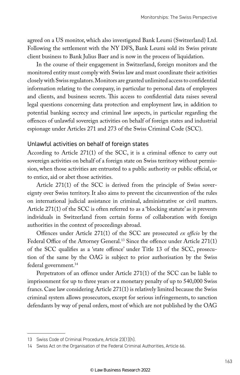agreed on a US monitor, which also investigated Bank Leumi (Switzerland) Ltd. Following the settlement with the NY DFS, Bank Leumi sold its Swiss private client business to Bank Julius Baer and is now in the process of liquidation.

In the course of their engagement in Switzerland, foreign monitors and the monitored entity must comply with Swiss law and must coordinate their activities closely with Swiss regulators. Monitors are granted unlimited access to confidential information relating to the company, in particular to personal data of employees and clients, and business secrets. This access to confidential data raises several legal questions concerning data protection and employment law, in addition to potential banking secrecy and criminal law aspects, in particular regarding the offences of unlawful sovereign activities on behalf of foreign states and industrial espionage under Articles 271 and 273 of the Swiss Criminal Code (SCC).

#### Unlawful activities on behalf of foreign states

According to Article 271(1) of the SCC, it is a criminal offence to carry out sovereign activities on behalf of a foreign state on Swiss territory without permission, when those activities are entrusted to a public authority or public official, or to entice, aid or abet those activities.

Article 271(1) of the SCC is derived from the principle of Swiss sovereignty over Swiss territory. It also aims to prevent the circumvention of the rules on international judicial assistance in criminal, administrative or civil matters. Article 271(1) of the SCC is often referred to as a 'blocking statute' as it prevents individuals in Switzerland from certain forms of collaboration with foreign authorities in the context of proceedings abroad.

Offences under Article 271(1) of the SCC are prosecuted *ex officio* by the Federal Office of the Attorney General.<sup>13</sup> Since the offence under Article 271(1) of the SCC qualifies as a 'state offence' under Title 13 of the SCC, prosecution of the same by the OAG is subject to prior authorisation by the Swiss federal government.<sup>14</sup>

Perpetrators of an offence under Article 271(1) of the SCC can be liable to imprisonment for up to three years or a monetary penalty of up to 540,000 Swiss francs. Case law considering Article 271(1) is relatively limited because the Swiss criminal system allows prosecutors, except for serious infringements, to sanction defendants by way of penal orders, most of which are not published by the OAG

<sup>13</sup> Swiss Code of Criminal Procedure, Article 23(1)(h).

<sup>14</sup> Swiss Act on the Organisation of the Federal Criminal Authorities, Article 66.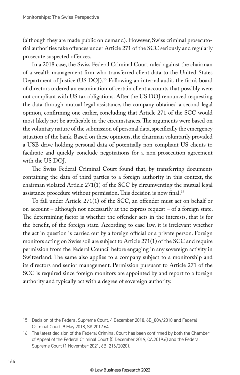(although they are made public on demand). However, Swiss criminal prosecutorial authorities take offences under Article 271 of the SCC seriously and regularly prosecute suspected offences.

In a 2018 case, the Swiss Federal Criminal Court ruled against the chairman of a wealth management firm who transferred client data to the United States Department of Justice (US DOJ).<sup>15</sup> Following an internal audit, the firm's board of directors ordered an examination of certain client accounts that possibly were not compliant with US tax obligations. After the US DOJ renounced requesting the data through mutual legal assistance, the company obtained a second legal opinion, confirming one earlier, concluding that Article 271 of the SCC would most likely not be applicable in the circumstances. The arguments were based on the voluntary nature of the submission of personal data, specifically the emergency situation of the bank. Based on these opinions, the chairman voluntarily provided a USB drive holding personal data of potentially non-compliant US clients to facilitate and quickly conclude negotiations for a non-prosecution agreement with the US DOJ.

The Swiss Federal Criminal Court found that, by transferring documents containing the data of third parties to a foreign authority in this context, the chairman violated Article 271(1) of the SCC by circumventing the mutual legal assistance procedure without permission. This decision is now final.16

To fall under Article 271(1) of the SCC, an offender must act on behalf or on account – although not necessarily at the express request – of a foreign state. The determining factor is whether the offender acts in the interests, that is for the benefit, of the foreign state. According to case law, it is irrelevant whether the act in question is carried out by a foreign official or a private person. Foreign monitors acting on Swiss soil are subject to Article 271(1) of the SCC and require permission from the Federal Council before engaging in any sovereign activity in Switzerland. The same also applies to a company subject to a monitorship and its directors and senior management. Permission pursuant to Article 271 of the SCC is required since foreign monitors are appointed by and report to a foreign authority and typically act with a degree of sovereign authority.

<sup>15</sup> Decision of the Federal Supreme Court, 4 December 2018, 6B\_804/2018 and Federal Criminal Court, 9 May 2018, SK.2017.64.

<sup>16</sup> The latest decision of the Federal Criminal Court has been confirmed by both the Chamber of Appeal of the Federal Criminal Court (5 December 2019, CA.2019.6) and the Federal Supreme Court (1 November 2021, 6B\_216/2020).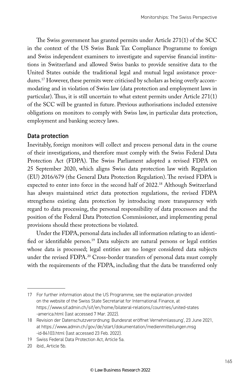The Swiss government has granted permits under Article 271(1) of the SCC in the context of the US Swiss Bank Tax Compliance Programme to foreign and Swiss independent examiners to investigate and supervise financial institutions in Switzerland and allowed Swiss banks to provide sensitive data to the United States outside the traditional legal and mutual legal assistance procedures.17 However, these permits were criticised by scholars as being overly accommodating and in violation of Swiss law (data protection and employment laws in particular). Thus, it is still uncertain to what extent permits under Article 271(1) of the SCC will be granted in future. Previous authorisations included extensive obligations on monitors to comply with Swiss law, in particular data protection, employment and banking secrecy laws.

#### Data protection

Inevitably, foreign monitors will collect and process personal data in the course of their investigations, and therefore must comply with the Swiss Federal Data Protection Act (FDPA). The Swiss Parliament adopted a revised FDPA on 25 September 2020, which aligns Swiss data protection law with Regulation (EU) 2016/679 (the General Data Protection Regulation). The revised FDPA is expected to enter into force in the second half of 2022.18 Although Switzerland has always maintained strict data protection regulations, the revised FDPA strengthens existing data protection by introducing more transparency with regard to data processing, the personal responsibility of data processors and the position of the Federal Data Protection Commissioner, and implementing penal provisions should these protections be violated.

Under the FDPA, personal data includes all information relating to an identified or identifiable person.19 Data subjects are natural persons or legal entities whose data is processed; legal entities are no longer considered data subjects under the revised FDPA.<sup>20</sup> Cross-border transfers of personal data must comply with the requirements of the FDPA, including that the data be transferred only

<sup>17</sup> For further information about the US Programme, see the explanation provided on the website of the Swiss State Secretariat for International Finance, at https://www.sif.admin.ch/sif/en/home/bilateral-relations/countries/united-states -america.html (last accessed 7 Mar. 2022).

<sup>18</sup> Revision der Datenschutzverordnung: Bundesrat eröffnet Vernehmlassung', 23 June 2021, at https://www.admin.ch/gov/de/start/dokumentation/medienmitteilungen.msg -id-84103.html (last accessed 23 Feb. 2022).

<sup>19</sup> Swiss Federal Data Protection Act, Article 5a.

<sup>20</sup> ibid., Article 5b.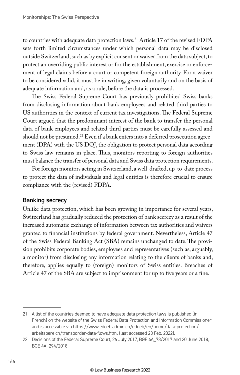to countries with adequate data protection laws.<sup>21</sup> Article 17 of the revised FDPA sets forth limited circumstances under which personal data may be disclosed outside Switzerland, such as by explicit consent or waiver from the data subject, to protect an overriding public interest or for the establishment, exercise or enforcement of legal claims before a court or competent foreign authority. For a waiver to be considered valid, it must be in writing, given voluntarily and on the basis of adequate information and, as a rule, before the data is processed.

The Swiss Federal Supreme Court has previously prohibited Swiss banks from disclosing information about bank employees and related third parties to US authorities in the context of current tax investigations. The Federal Supreme Court argued that the predominant interest of the bank to transfer the personal data of bank employees and related third parties must be carefully assessed and should not be presumed.<sup>22</sup> Even if a bank enters into a deferred prosecution agreement (DPA) with the US DOJ, the obligation to protect personal data according to Swiss law remains in place. Thus, monitors reporting to foreign authorities must balance the transfer of personal data and Swiss data protection requirements.

For foreign monitors acting in Switzerland, a well-drafted, up-to-date process to protect the data of individuals and legal entities is therefore crucial to ensure compliance with the (revised) FDPA.

#### Banking secrecy

Unlike data protection, which has been growing in importance for several years, Switzerland has gradually reduced the protection of bank secrecy as a result of the increased automatic exchange of information between tax authorities and waivers granted to financial institutions by federal government. Nevertheless, Article 47 of the Swiss Federal Banking Act (SBA) remains unchanged to date. The provision prohibits corporate bodies, employees and representatives (such as, arguably, a monitor) from disclosing any information relating to the clients of banks and, therefore, applies equally to (foreign) monitors of Swiss entities. Breaches of Article 47 of the SBA are subject to imprisonment for up to five years or a fine.

<sup>21</sup> A list of the countries deemed to have adequate data protection laws is published (in French) on the website of the Swiss Federal Data Protection and Information Commissioner and is accessible via https://www.edoeb.admin.ch/edoeb/en/home/data-protection/ arbeitsbereich/transborder-data-flows.html (last accessed 23 Feb. 2022).

<sup>22</sup> Decisions of the Federal Supreme Court, 26 July 2017, BGE 4A\_73/2017 and 20 June 2018, BGE 4A\_294/2018.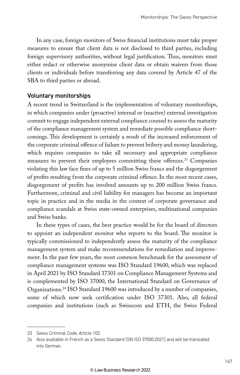In any case, foreign monitors of Swiss financial institutions must take proper measures to ensure that client data is not disclosed to third parties, including foreign supervisory authorities, without legal justification. Thus, monitors must either redact or otherwise anonymise client data or obtain waivers from those clients or individuals before transferring any data covered by Article 47 of the SBA to third parties or abroad.

#### Voluntary monitorships

A recent trend in Switzerland is the implementation of voluntary monitorships, in which companies under (proactive) internal or (reactive) external investigation commit to engage independent external compliance counsel to assess the maturity of the compliance management system and remediate possible compliance shortcomings. This development is certainly a result of the increased enforcement of the corporate criminal offence of failure to prevent bribery and money laundering, which requires companies to take all necessary and appropriate compliance measures to prevent their employees committing these offences.23 Companies violating this law face fines of up to 5 million Swiss francs and the disgorgement of profits resulting from the corporate criminal offence. In the most recent cases, disgorgement of profits has involved amounts up to 200 million Swiss francs. Furthermore, criminal and civil liability for managers has become an important topic in practice and in the media in the context of corporate governance and compliance scandals at Swiss state-owned enterprises, multinational companies and Swiss banks.

In these types of cases, the best practice would be for the board of directors to appoint an independent monitor who reports to the board. The monitor is typically commissioned to independently assess the maturity of the compliance management system and make recommendations for remediation and improvement. In the past few years, the most common benchmark for the assessment of compliance management systems was ISO Standard 19600, which was replaced in April 2021 by ISO Standard 37301 on Compliance Management Systems and is complemented by ISO 37000, the International Standard on Governance of Organizations.24 ISO Standard 19600 was introduced by a number of companies, some of which now seek certification under ISO 37301. Also, all federal companies and institutions (such as Swisscom and ETH, the Swiss Federal

<sup>23</sup> Swiss Criminal Code, Article 102.

<sup>24</sup> Also available in French as a Swiss Standard (SN ISO 37000:2021) and will be translated into German.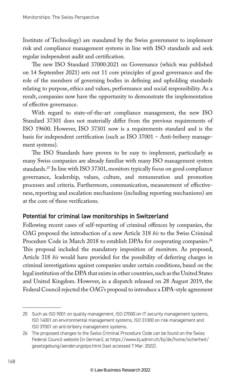Institute of Technology) are mandated by the Swiss government to implement risk and compliance management systems in line with ISO standards and seek regular independent audit and certification.

The new ISO Standard 37000:2021 on Governance (which was published on 14 September 2021) sets out 11 core principles of good governance and the role of the members of governing bodies in defining and upholding standards relating to purpose, ethics and values, performance and social responsibility. As a result, companies now have the opportunity to demonstrate the implementation of effective governance.

With regard to state-of-the-art compliance management, the new ISO Standard 37301 does not materially differ from the previous requirements of ISO 19600. However, ISO 37301 now is a requirements standard and is the basis for independent certification (such as ISO 37001 – Anti-bribery management systems).

The ISO Standards have proven to be easy to implement, particularly as many Swiss companies are already familiar with many ISO management system standards.25 In line with ISO 37301, monitors typically focus on good compliance governance, leadership, values, culture, and remuneration and promotion processes and criteria. Furthermore, communication, measurement of effectiveness, reporting and escalation mechanisms (including reporting mechanisms) are at the core of these verifications.

#### Potential for criminal law monitorships in Switzerland

Following recent cases of self-reporting of criminal offences by companies, the OAG proposed the introduction of a new Article 318 *bis* to the Swiss Criminal Procedure Code in March 2018 to establish DPAs for cooperating companies.<sup>26</sup> This proposal included the mandatory imposition of monitors. As proposed, Article 318 *bis* would have provided for the possibility of deferring charges in criminal investigations against companies under certain conditions, based on the legal institution of the DPA that exists in other countries, such as the United States and United Kingdom. However, in a dispatch released on 28 August 2019, the Federal Council rejected the OAG's proposal to introduce a DPA-style agreement

<sup>25</sup> Such as ISO 9001 on quality management, ISO 27000 on IT security management systems, ISO 14001 on environmental management systems, ISO 31000 on risk management and ISO 37001 on anti-bribery management systems.

<sup>26</sup> The proposed changes to the Swiss Criminal Procedure Code can be found on the Swiss Federal Council website (in German), at https://www.bj.admin.ch/bj/de/home/sicherheit/ gesetzgebung/aenderungstpo.html (last accessed 7 Mar. 2022).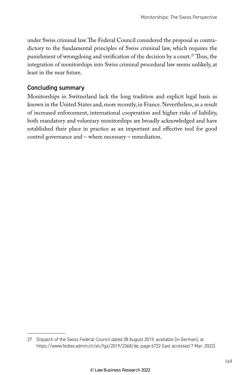under Swiss criminal law. The Federal Council considered the proposal as contradictory to the fundamental principles of Swiss criminal law, which requires the punishment of wrongdoing and verification of the decision by a court.<sup>27</sup> Thus, the integration of monitorships into Swiss criminal procedural law seems unlikely, at least in the near future.

#### Concluding summary

Monitorships in Switzerland lack the long tradition and explicit legal basis as known in the United States and, more recently, in France. Nevertheless, as a result of increased enforcement, international cooperation and higher risks of liability, both mandatory and voluntary monitorships are broadly acknowledged and have established their place in practice as an important and effective tool for good control governance and – where necessary – remediation.

<sup>27</sup> Dispatch of the Swiss Federal Council dated 28 August 2019, available (in German), at https://www.fedlex.admin.ch/eli/fga/2019/2368/de, page 6722 (last accessed 7 Mar. 2022).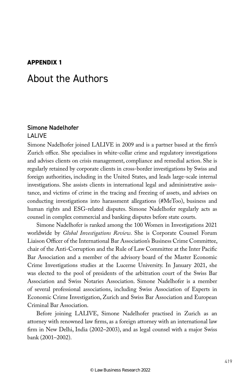#### **APPENDIX 1**

### About the Authors

#### Simone Nadelhofer LALIVE

Simone Nadelhofer joined LALIVE in 2009 and is a partner based at the firm's Zurich office. She specialises in white-collar crime and regulatory investigations and advises clients on crisis management, compliance and remedial action. She is regularly retained by corporate clients in cross-border investigations by Swiss and foreign authorities, including in the United States, and leads large-scale internal investigations. She assists clients in international legal and administrative assistance, and victims of crime in the tracing and freezing of assets, and advises on conducting investigations into harassment allegations (#MeToo), business and human rights and ESG-related disputes. Simone Nadelhofer regularly acts as counsel in complex commercial and banking disputes before state courts.

Simone Nadelhofer is ranked among the 100 Women in Investigations 2021 worldwide by *Global Investigations Review*. She is Corporate Counsel Forum Liaison Officer of the International Bar Association's Business Crime Committee, chair of the Anti-Corruption and the Rule of Law Committee at the Inter Pacific Bar Association and a member of the advisory board of the Master Economic Crime Investigations studies at the Lucerne University. In January 2021, she was elected to the pool of presidents of the arbitration court of the Swiss Bar Association and Swiss Notaries Association. Simone Nadelhofer is a member of several professional associations, including Swiss Association of Experts in Economic Crime Investigation, Zurich and Swiss Bar Association and European Criminal Bar Association.

Before joining LALIVE, Simone Nadelhofer practised in Zurich as an attorney with renowned law firms, as a foreign attorney with an international law firm in New Delhi, India (2002–2003), and as legal counsel with a major Swiss bank (2001–2002).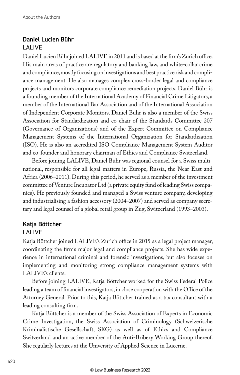#### Daniel Lucien Bühr LALIVE

Daniel Lucien Bühr joined LALIVE in 2011 and is based at the firm's Zurich office. His main areas of practice are regulatory and banking law, and white-collar crime and compliance, mostly focusing on investigations and best practice risk and compliance management. He also manages complex cross-border legal and compliance projects and monitors corporate compliance remediation projects. Daniel Bühr is a founding member of the International Academy of Financial Crime Litigators, a member of the International Bar Association and of the International Association of Independent Corporate Monitors. Daniel Bühr is also a member of the Swiss Association for Standardization and co-chair of the Standards Committee 207 (Governance of Organizations) and of the Expert Committee on Compliance Management Systems of the International Organization for Standardization (ISO). He is also an accredited ISO Compliance Management System Auditor and co-founder and honorary chairman of Ethics and Compliance Switzerland.

Before joining LALIVE, Daniel Bühr was regional counsel for a Swiss multinational, responsible for all legal matters in Europe, Russia, the Near East and Africa (2006–2011). During this period, he served as a member of the investment committee of Venture Incubator Ltd (a private equity fund of leading Swiss companies). He previously founded and managed a Swiss venture company, developing and industrialising a fashion accessory (2004–2007) and served as company secretary and legal counsel of a global retail group in Zug, Switzerland (1993–2003).

#### Katja Böttcher

#### LALIVE

Katja Böttcher joined LALIVE's Zurich office in 2015 as a legal project manager, coordinating the firm's major legal and compliance projects. She has wide experience in international criminal and forensic investigations, but also focuses on implementing and monitoring strong compliance management systems with LALIVE's clients.

Before joining LALIVE, Katja Böttcher worked for the Swiss Federal Police leading a team of financial investigators, in close cooperation with the Office of the Attorney General. Prior to this, Katja Böttcher trained as a tax consultant with a leading consulting firm.

Katja Böttcher is a member of the Swiss Association of Experts in Economic Crime Investigation, the Swiss Association of Criminology (Schweizerische Kriminalistische Gesellschaft, SKG) as well as of Ethics and Compliance Switzerland and an active member of the Anti-Bribery Working Group thereof. She regularly lectures at the University of Applied Science in Lucerne.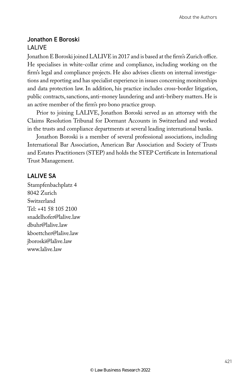#### Jonathon E Boroski LALIVE

Jonathon E Boroski joined LALIVE in 2017 and is based at the firm's Zurich office. He specialises in white-collar crime and compliance, including working on the firm's legal and compliance projects. He also advises clients on internal investigations and reporting and has specialist experience in issues concerning monitorships and data protection law. In addition, his practice includes cross-border litigation, public contracts, sanctions, anti-money laundering and anti-bribery matters. He is an active member of the firm's pro bono practice group.

Prior to joining LALIVE, Jonathon Boroski served as an attorney with the Claims Resolution Tribunal for Dormant Accounts in Switzerland and worked in the trusts and compliance departments at several leading international banks.

Jonathon Boroski is a member of several professional associations, including International Bar Association, American Bar Association and Society of Trusts and Estates Practitioners (STEP) and holds the STEP Certificate in International Trust Management.

#### LALIVE SA

Stampfenbachplatz 4 8042 Zurich Switzerland Tel: +41 58 105 2100 snadelhofer@lalive.law dbuhr@lalive.law kboettcher@lalive.law jboroski@lalive.law www.lalive.law